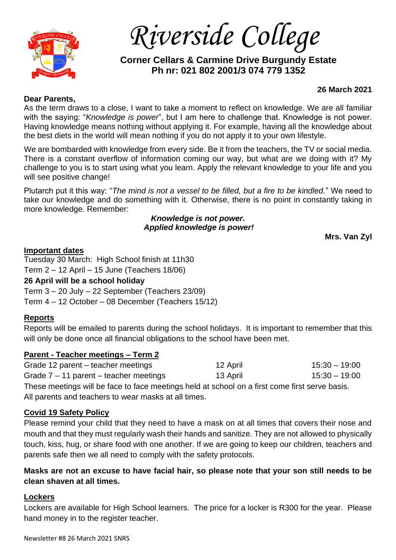

*Riverside College*

# **Corner Cellars & Carmine Drive Burgundy Estate Ph nr: 021 802 2001/3 074 779 1352**

### **Dear Parents,**

### **26 March 2021**

As the term draws to a close, I want to take a moment to reflect on knowledge. We are all familiar with the saying: "*Knowledge is power*", but I am here to challenge that. Knowledge is not power. Having knowledge means nothing without applying it. For example, having all the knowledge about the best diets in the world will mean nothing if you do not apply it to your own lifestyle.

We are bombarded with knowledge from every side. Be it from the teachers, the TV or social media. There is a constant overflow of information coming our way, but what are we doing with it? My challenge to you is to start using what you learn. Apply the relevant knowledge to your life and you will see positive change!

Plutarch put it this way: "*The mind is not a vessel to be filled, but a fire to be kindled.*" We need to take our knowledge and do something with it. Otherwise, there is no point in constantly taking in more knowledge. Remember:

> *Knowledge is not power. Applied knowledge is power!*

**Mrs. Van Zyl**

### **Important dates**

Tuesday 30 March: High School finish at 11h30 Term 2 – 12 April – 15 June (Teachers 18/06) **26 April will be a school holiday** Term 3 – 20 July – 22 September (Teachers 23/09) Term 4 – 12 October – 08 December (Teachers 15/12)

# **Reports**

Reports will be emailed to parents during the school holidays. It is important to remember that this will only be done once all financial obligations to the school have been met.

# **Parent - Teacher meetings – Term 2**

| Grade 12 parent – teacher meetings                                                            | 12 April | 15:30 – 19:00 |
|-----------------------------------------------------------------------------------------------|----------|---------------|
| Grade $7 - 11$ parent – teacher meetings                                                      | 13 April | 15:30 – 19:00 |
| Those mootings will be face to face mootings hold at school on a first come first sense basis |          |               |

These meetings will be face to face meetings held at school on a first come first serve basis. All parents and teachers to wear masks at all times.

# **Covid 19 Safety Policy**

Please remind your child that they need to have a mask on at all times that covers their nose and mouth and that they must regularly wash their hands and sanitize. They are not allowed to physically touch, kiss, hug, or share food with one another. If we are going to keep our children, teachers and parents safe then we all need to comply with the safety protocols.

# **Masks are not an excuse to have facial hair, so please note that your son still needs to be clean shaven at all times.**

# **Lockers**

Lockers are available for High School learners. The price for a locker is R300 for the year. Please hand money in to the register teacher.